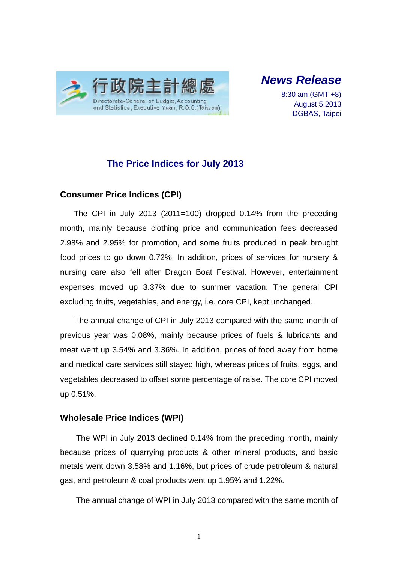

*News Release* 

8:30 am (GMT +8) August 5 2013 DGBAS, Taipei

### **The Price Indices for July 2013**

#### **Consumer Price Indices (CPI)**

The CPI in July 2013 (2011=100) dropped 0.14% from the preceding month, mainly because clothing price and communication fees decreased 2.98% and 2.95% for promotion, and some fruits produced in peak brought food prices to go down 0.72%. In addition, prices of services for nursery & nursing care also fell after Dragon Boat Festival. However, entertainment expenses moved up 3.37% due to summer vacation. The general CPI excluding fruits, vegetables, and energy, i.e. core CPI, kept unchanged.

The annual change of CPI in July 2013 compared with the same month of previous year was 0.08%, mainly because prices of fuels & lubricants and meat went up 3.54% and 3.36%. In addition, prices of food away from home and medical care services still stayed high, whereas prices of fruits, eggs, and vegetables decreased to offset some percentage of raise. The core CPI moved up 0.51%.

#### **Wholesale Price Indices (WPI)**

The WPI in July 2013 declined 0.14% from the preceding month, mainly because prices of quarrying products & other mineral products, and basic metals went down 3.58% and 1.16%, but prices of crude petroleum & natural gas, and petroleum & coal products went up 1.95% and 1.22%.

The annual change of WPI in July 2013 compared with the same month of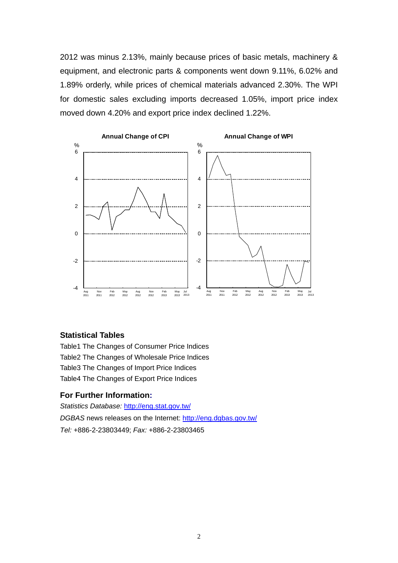2012 was minus 2.13%, mainly because prices of basic metals, machinery & equipment, and electronic parts & components went down 9.11%, 6.02% and 1.89% orderly, while prices of chemical materials advanced 2.30%. The WPI for domestic sales excluding imports decreased 1.05%, import price index moved down 4.20% and export price index declined 1.22%.



#### **Statistical Tables**

Table1 The Changes of Consumer Price Indices Table2 The Changes of Wholesale Price Indices Table3 The Changes of Import Price Indices Table4 The Changes of Export Price Indices

#### **For Further Information:**

*Statistics Database:* http://eng.stat.gov.tw/ *DGBAS* news releases on the Internet: http://eng.dgbas.gov.tw/ *Tel:* +886-2-23803449; *Fax:* +886-2-23803465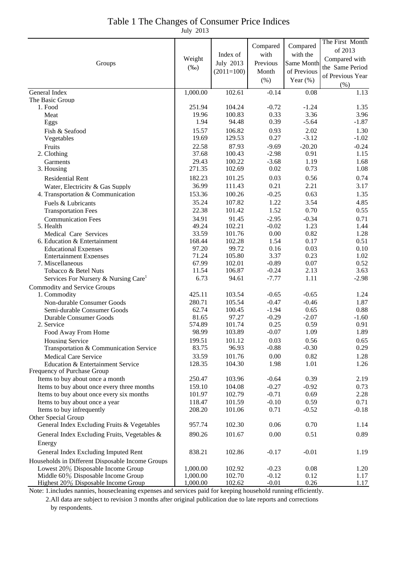| Table 1 The Changes of Consumer Price Indices |
|-----------------------------------------------|
| July 2013                                     |

| 1,000.00<br>102.61<br>General Index<br>$-0.14$<br>0.08<br>1.13<br>The Basic Group<br>251.94<br>104.24<br>$-0.72$<br>$-1.24$<br>1. Food<br>1.35<br>0.33<br>3.36<br>19.96<br>100.83<br>3.96<br>Meat<br>1.94<br>94.48<br>0.39<br>$-5.64$<br>$-1.87$<br>Eggs<br>15.57<br>0.93<br>2.02<br>106.82<br>1.30<br>Fish & Seafood<br>19.69<br>0.27<br>$-3.12$<br>129.53<br>$-1.02$<br>Vegetables<br>87.93<br>$-9.69$<br>$-20.20$<br>22.58<br>$-0.24$<br>Fruits<br>37.68<br>100.43<br>0.91<br>2. Clothing<br>$-2.98$<br>1.15<br>29.43<br>100.22<br>$-3.68$<br>1.19<br>1.68<br>Garments<br>271.35<br>0.73<br>102.69<br>0.02<br>1.08<br>3. Housing<br>0.03<br>0.56<br>182.23<br>101.25<br>0.74<br><b>Residential Rent</b><br>36.99<br>0.21<br>2.21<br>111.43<br>3.17<br>Water, Electricity & Gas Supply<br>0.63<br>153.36<br>100.26<br>$-0.25$<br>1.35<br>4. Transportation & Communication<br>35.24<br>107.82<br>1.22<br>3.54<br>4.85<br>Fuels & Lubricants<br>1.52<br>0.70<br>22.38<br>101.42<br>0.55<br><b>Transportation Fees</b><br>91.45<br>$-2.95$<br>$-0.34$<br><b>Communication Fees</b><br>34.91<br>0.71<br>1.23<br>49.24<br>102.21<br>$-0.02$<br>1.44<br>5. Health<br>33.59<br>$0.00\,$<br>0.82<br>101.76<br>1.28<br>Medical Care Services<br>168.44<br>1.54<br>0.17<br>6. Education & Entertainment<br>102.28<br>0.51<br>97.20<br>99.72<br>0.16<br>0.03<br>0.10<br><b>Educational Expenses</b><br>3.37<br>71.24<br>105.80<br>0.23<br>1.02<br><b>Entertainment Expenses</b><br>67.99<br>$-0.89$<br>0.07<br>0.52<br>7. Miscellaneous<br>102.01<br>11.54<br>106.87<br>$-0.24$<br>2.13<br>3.63<br>Tobacco & Betel Nuts<br>6.73<br>$-7.77$<br>1.11<br>94.61<br>$-2.98$<br>Services For Nursery & Nursing Care <sup>1</sup><br><b>Commodity and Service Groups</b><br>425.11<br>103.54<br>$-0.65$<br>$-0.65$<br>1. Commodity<br>1.24<br>280.71<br>105.54<br>$-0.47$<br>$-0.46$<br>1.87<br>Non-durable Consumer Goods<br>0.88<br>62.74<br>100.45<br>$-1.94$<br>0.65<br>Semi-durable Consumer Goods<br>$-2.07$<br>81.65<br>97.27<br>$-0.29$<br>$-1.60$<br>Durable Consumer Goods<br>0.25<br>574.89<br>101.74<br>0.59<br>0.91<br>2. Service<br>$-0.07$<br>98.99<br>103.89<br>1.09<br>1.89<br>Food Away From Home<br>199.51<br>101.12<br>0.03<br>0.56<br><b>Housing Service</b><br>0.65<br>83.75<br>96.93<br>$-0.88$<br>$-0.30$<br>0.29<br>Transportation & Communication Service<br>33.59<br>101.76<br>0.00<br>0.82<br><b>Medical Care Service</b><br>1.28<br>128.35<br>104.30<br>1.98<br>1.01<br>1.26<br>Education & Entertainment Service<br>Frequency of Purchase Group<br>Items to buy about once a month<br>$-0.64$<br>0.39<br>250.47<br>103.96<br>2.19<br>$-0.27$<br>$-0.92$<br>Items to buy about once every three months<br>159.10<br>104.08<br>0.73<br>Items to buy about once every six months<br>$-0.71$<br>0.69<br>101.97<br>102.79<br>2.28<br>Items to buy about once a year<br>$-0.10$<br>0.59<br>118.47<br>101.59<br>0.71<br>Items to buy infrequently<br>0.71<br>$-0.52$<br>208.20<br>101.06<br>$-0.18$<br>Other Special Group<br>General Index Excluding Fruits & Vegetables<br>102.30<br>0.06<br>0.70<br>957.74<br>1.14<br>0.00<br>0.51<br>General Index Excluding Fruits, Vegetables &<br>890.26<br>101.67<br>0.89<br>Energy<br>General Index Excluding Imputed Rent<br>838.21<br>102.86<br>$-0.17$<br>$-0.01$<br>1.19<br>Households in Different Disposable Income Groups<br>Lowest 20% Disposable Income Group<br>1,000.00<br>$-0.23$<br>102.92<br>0.08<br>1.20<br>Middle 60% Disposable Income Group<br>1,000.00<br>102.70<br>$-0.12$<br>0.12<br>1.17<br>Highest 20% Disposable Income Group<br>1,000.00<br>102.62<br>$-0.01$<br>0.26<br>1.17 | Groups | Weight<br>$(\%0)$ | Index of<br>July 2013<br>$(2011=100)$ | Compared<br>with<br>Previous<br>Month<br>(% ) | Compared<br>with the<br>Same Month<br>of Previous<br>Year $(\%)$ | The First Month<br>of 2013<br>Compared with<br>the Same Period<br>of Previous Year<br>(% ) |
|---------------------------------------------------------------------------------------------------------------------------------------------------------------------------------------------------------------------------------------------------------------------------------------------------------------------------------------------------------------------------------------------------------------------------------------------------------------------------------------------------------------------------------------------------------------------------------------------------------------------------------------------------------------------------------------------------------------------------------------------------------------------------------------------------------------------------------------------------------------------------------------------------------------------------------------------------------------------------------------------------------------------------------------------------------------------------------------------------------------------------------------------------------------------------------------------------------------------------------------------------------------------------------------------------------------------------------------------------------------------------------------------------------------------------------------------------------------------------------------------------------------------------------------------------------------------------------------------------------------------------------------------------------------------------------------------------------------------------------------------------------------------------------------------------------------------------------------------------------------------------------------------------------------------------------------------------------------------------------------------------------------------------------------------------------------------------------------------------------------------------------------------------------------------------------------------------------------------------------------------------------------------------------------------------------------------------------------------------------------------------------------------------------------------------------------------------------------------------------------------------------------------------------------------------------------------------------------------------------------------------------------------------------------------------------------------------------------------------------------------------------------------------------------------------------------------------------------------------------------------------------------------------------------------------------------------------------------------------------------------------------------------------------------------------------------------------------------------------------------------------------------------------------------------------------------------------------------------------------------------------------------------------------------------------------------------------------------------------------------------------------------------------------------------------------------------------------------------------------------------------------------------------------------------------------------------------------------------------------------------------------------------------------|--------|-------------------|---------------------------------------|-----------------------------------------------|------------------------------------------------------------------|--------------------------------------------------------------------------------------------|
|                                                                                                                                                                                                                                                                                                                                                                                                                                                                                                                                                                                                                                                                                                                                                                                                                                                                                                                                                                                                                                                                                                                                                                                                                                                                                                                                                                                                                                                                                                                                                                                                                                                                                                                                                                                                                                                                                                                                                                                                                                                                                                                                                                                                                                                                                                                                                                                                                                                                                                                                                                                                                                                                                                                                                                                                                                                                                                                                                                                                                                                                                                                                                                                                                                                                                                                                                                                                                                                                                                                                                                                                                                                         |        |                   |                                       |                                               |                                                                  |                                                                                            |
|                                                                                                                                                                                                                                                                                                                                                                                                                                                                                                                                                                                                                                                                                                                                                                                                                                                                                                                                                                                                                                                                                                                                                                                                                                                                                                                                                                                                                                                                                                                                                                                                                                                                                                                                                                                                                                                                                                                                                                                                                                                                                                                                                                                                                                                                                                                                                                                                                                                                                                                                                                                                                                                                                                                                                                                                                                                                                                                                                                                                                                                                                                                                                                                                                                                                                                                                                                                                                                                                                                                                                                                                                                                         |        |                   |                                       |                                               |                                                                  |                                                                                            |
|                                                                                                                                                                                                                                                                                                                                                                                                                                                                                                                                                                                                                                                                                                                                                                                                                                                                                                                                                                                                                                                                                                                                                                                                                                                                                                                                                                                                                                                                                                                                                                                                                                                                                                                                                                                                                                                                                                                                                                                                                                                                                                                                                                                                                                                                                                                                                                                                                                                                                                                                                                                                                                                                                                                                                                                                                                                                                                                                                                                                                                                                                                                                                                                                                                                                                                                                                                                                                                                                                                                                                                                                                                                         |        |                   |                                       |                                               |                                                                  |                                                                                            |
|                                                                                                                                                                                                                                                                                                                                                                                                                                                                                                                                                                                                                                                                                                                                                                                                                                                                                                                                                                                                                                                                                                                                                                                                                                                                                                                                                                                                                                                                                                                                                                                                                                                                                                                                                                                                                                                                                                                                                                                                                                                                                                                                                                                                                                                                                                                                                                                                                                                                                                                                                                                                                                                                                                                                                                                                                                                                                                                                                                                                                                                                                                                                                                                                                                                                                                                                                                                                                                                                                                                                                                                                                                                         |        |                   |                                       |                                               |                                                                  |                                                                                            |
|                                                                                                                                                                                                                                                                                                                                                                                                                                                                                                                                                                                                                                                                                                                                                                                                                                                                                                                                                                                                                                                                                                                                                                                                                                                                                                                                                                                                                                                                                                                                                                                                                                                                                                                                                                                                                                                                                                                                                                                                                                                                                                                                                                                                                                                                                                                                                                                                                                                                                                                                                                                                                                                                                                                                                                                                                                                                                                                                                                                                                                                                                                                                                                                                                                                                                                                                                                                                                                                                                                                                                                                                                                                         |        |                   |                                       |                                               |                                                                  |                                                                                            |
|                                                                                                                                                                                                                                                                                                                                                                                                                                                                                                                                                                                                                                                                                                                                                                                                                                                                                                                                                                                                                                                                                                                                                                                                                                                                                                                                                                                                                                                                                                                                                                                                                                                                                                                                                                                                                                                                                                                                                                                                                                                                                                                                                                                                                                                                                                                                                                                                                                                                                                                                                                                                                                                                                                                                                                                                                                                                                                                                                                                                                                                                                                                                                                                                                                                                                                                                                                                                                                                                                                                                                                                                                                                         |        |                   |                                       |                                               |                                                                  |                                                                                            |
|                                                                                                                                                                                                                                                                                                                                                                                                                                                                                                                                                                                                                                                                                                                                                                                                                                                                                                                                                                                                                                                                                                                                                                                                                                                                                                                                                                                                                                                                                                                                                                                                                                                                                                                                                                                                                                                                                                                                                                                                                                                                                                                                                                                                                                                                                                                                                                                                                                                                                                                                                                                                                                                                                                                                                                                                                                                                                                                                                                                                                                                                                                                                                                                                                                                                                                                                                                                                                                                                                                                                                                                                                                                         |        |                   |                                       |                                               |                                                                  |                                                                                            |
|                                                                                                                                                                                                                                                                                                                                                                                                                                                                                                                                                                                                                                                                                                                                                                                                                                                                                                                                                                                                                                                                                                                                                                                                                                                                                                                                                                                                                                                                                                                                                                                                                                                                                                                                                                                                                                                                                                                                                                                                                                                                                                                                                                                                                                                                                                                                                                                                                                                                                                                                                                                                                                                                                                                                                                                                                                                                                                                                                                                                                                                                                                                                                                                                                                                                                                                                                                                                                                                                                                                                                                                                                                                         |        |                   |                                       |                                               |                                                                  |                                                                                            |
|                                                                                                                                                                                                                                                                                                                                                                                                                                                                                                                                                                                                                                                                                                                                                                                                                                                                                                                                                                                                                                                                                                                                                                                                                                                                                                                                                                                                                                                                                                                                                                                                                                                                                                                                                                                                                                                                                                                                                                                                                                                                                                                                                                                                                                                                                                                                                                                                                                                                                                                                                                                                                                                                                                                                                                                                                                                                                                                                                                                                                                                                                                                                                                                                                                                                                                                                                                                                                                                                                                                                                                                                                                                         |        |                   |                                       |                                               |                                                                  |                                                                                            |
|                                                                                                                                                                                                                                                                                                                                                                                                                                                                                                                                                                                                                                                                                                                                                                                                                                                                                                                                                                                                                                                                                                                                                                                                                                                                                                                                                                                                                                                                                                                                                                                                                                                                                                                                                                                                                                                                                                                                                                                                                                                                                                                                                                                                                                                                                                                                                                                                                                                                                                                                                                                                                                                                                                                                                                                                                                                                                                                                                                                                                                                                                                                                                                                                                                                                                                                                                                                                                                                                                                                                                                                                                                                         |        |                   |                                       |                                               |                                                                  |                                                                                            |
|                                                                                                                                                                                                                                                                                                                                                                                                                                                                                                                                                                                                                                                                                                                                                                                                                                                                                                                                                                                                                                                                                                                                                                                                                                                                                                                                                                                                                                                                                                                                                                                                                                                                                                                                                                                                                                                                                                                                                                                                                                                                                                                                                                                                                                                                                                                                                                                                                                                                                                                                                                                                                                                                                                                                                                                                                                                                                                                                                                                                                                                                                                                                                                                                                                                                                                                                                                                                                                                                                                                                                                                                                                                         |        |                   |                                       |                                               |                                                                  |                                                                                            |
|                                                                                                                                                                                                                                                                                                                                                                                                                                                                                                                                                                                                                                                                                                                                                                                                                                                                                                                                                                                                                                                                                                                                                                                                                                                                                                                                                                                                                                                                                                                                                                                                                                                                                                                                                                                                                                                                                                                                                                                                                                                                                                                                                                                                                                                                                                                                                                                                                                                                                                                                                                                                                                                                                                                                                                                                                                                                                                                                                                                                                                                                                                                                                                                                                                                                                                                                                                                                                                                                                                                                                                                                                                                         |        |                   |                                       |                                               |                                                                  |                                                                                            |
|                                                                                                                                                                                                                                                                                                                                                                                                                                                                                                                                                                                                                                                                                                                                                                                                                                                                                                                                                                                                                                                                                                                                                                                                                                                                                                                                                                                                                                                                                                                                                                                                                                                                                                                                                                                                                                                                                                                                                                                                                                                                                                                                                                                                                                                                                                                                                                                                                                                                                                                                                                                                                                                                                                                                                                                                                                                                                                                                                                                                                                                                                                                                                                                                                                                                                                                                                                                                                                                                                                                                                                                                                                                         |        |                   |                                       |                                               |                                                                  |                                                                                            |
|                                                                                                                                                                                                                                                                                                                                                                                                                                                                                                                                                                                                                                                                                                                                                                                                                                                                                                                                                                                                                                                                                                                                                                                                                                                                                                                                                                                                                                                                                                                                                                                                                                                                                                                                                                                                                                                                                                                                                                                                                                                                                                                                                                                                                                                                                                                                                                                                                                                                                                                                                                                                                                                                                                                                                                                                                                                                                                                                                                                                                                                                                                                                                                                                                                                                                                                                                                                                                                                                                                                                                                                                                                                         |        |                   |                                       |                                               |                                                                  |                                                                                            |
|                                                                                                                                                                                                                                                                                                                                                                                                                                                                                                                                                                                                                                                                                                                                                                                                                                                                                                                                                                                                                                                                                                                                                                                                                                                                                                                                                                                                                                                                                                                                                                                                                                                                                                                                                                                                                                                                                                                                                                                                                                                                                                                                                                                                                                                                                                                                                                                                                                                                                                                                                                                                                                                                                                                                                                                                                                                                                                                                                                                                                                                                                                                                                                                                                                                                                                                                                                                                                                                                                                                                                                                                                                                         |        |                   |                                       |                                               |                                                                  |                                                                                            |
|                                                                                                                                                                                                                                                                                                                                                                                                                                                                                                                                                                                                                                                                                                                                                                                                                                                                                                                                                                                                                                                                                                                                                                                                                                                                                                                                                                                                                                                                                                                                                                                                                                                                                                                                                                                                                                                                                                                                                                                                                                                                                                                                                                                                                                                                                                                                                                                                                                                                                                                                                                                                                                                                                                                                                                                                                                                                                                                                                                                                                                                                                                                                                                                                                                                                                                                                                                                                                                                                                                                                                                                                                                                         |        |                   |                                       |                                               |                                                                  |                                                                                            |
|                                                                                                                                                                                                                                                                                                                                                                                                                                                                                                                                                                                                                                                                                                                                                                                                                                                                                                                                                                                                                                                                                                                                                                                                                                                                                                                                                                                                                                                                                                                                                                                                                                                                                                                                                                                                                                                                                                                                                                                                                                                                                                                                                                                                                                                                                                                                                                                                                                                                                                                                                                                                                                                                                                                                                                                                                                                                                                                                                                                                                                                                                                                                                                                                                                                                                                                                                                                                                                                                                                                                                                                                                                                         |        |                   |                                       |                                               |                                                                  |                                                                                            |
|                                                                                                                                                                                                                                                                                                                                                                                                                                                                                                                                                                                                                                                                                                                                                                                                                                                                                                                                                                                                                                                                                                                                                                                                                                                                                                                                                                                                                                                                                                                                                                                                                                                                                                                                                                                                                                                                                                                                                                                                                                                                                                                                                                                                                                                                                                                                                                                                                                                                                                                                                                                                                                                                                                                                                                                                                                                                                                                                                                                                                                                                                                                                                                                                                                                                                                                                                                                                                                                                                                                                                                                                                                                         |        |                   |                                       |                                               |                                                                  |                                                                                            |
|                                                                                                                                                                                                                                                                                                                                                                                                                                                                                                                                                                                                                                                                                                                                                                                                                                                                                                                                                                                                                                                                                                                                                                                                                                                                                                                                                                                                                                                                                                                                                                                                                                                                                                                                                                                                                                                                                                                                                                                                                                                                                                                                                                                                                                                                                                                                                                                                                                                                                                                                                                                                                                                                                                                                                                                                                                                                                                                                                                                                                                                                                                                                                                                                                                                                                                                                                                                                                                                                                                                                                                                                                                                         |        |                   |                                       |                                               |                                                                  |                                                                                            |
|                                                                                                                                                                                                                                                                                                                                                                                                                                                                                                                                                                                                                                                                                                                                                                                                                                                                                                                                                                                                                                                                                                                                                                                                                                                                                                                                                                                                                                                                                                                                                                                                                                                                                                                                                                                                                                                                                                                                                                                                                                                                                                                                                                                                                                                                                                                                                                                                                                                                                                                                                                                                                                                                                                                                                                                                                                                                                                                                                                                                                                                                                                                                                                                                                                                                                                                                                                                                                                                                                                                                                                                                                                                         |        |                   |                                       |                                               |                                                                  |                                                                                            |
|                                                                                                                                                                                                                                                                                                                                                                                                                                                                                                                                                                                                                                                                                                                                                                                                                                                                                                                                                                                                                                                                                                                                                                                                                                                                                                                                                                                                                                                                                                                                                                                                                                                                                                                                                                                                                                                                                                                                                                                                                                                                                                                                                                                                                                                                                                                                                                                                                                                                                                                                                                                                                                                                                                                                                                                                                                                                                                                                                                                                                                                                                                                                                                                                                                                                                                                                                                                                                                                                                                                                                                                                                                                         |        |                   |                                       |                                               |                                                                  |                                                                                            |
|                                                                                                                                                                                                                                                                                                                                                                                                                                                                                                                                                                                                                                                                                                                                                                                                                                                                                                                                                                                                                                                                                                                                                                                                                                                                                                                                                                                                                                                                                                                                                                                                                                                                                                                                                                                                                                                                                                                                                                                                                                                                                                                                                                                                                                                                                                                                                                                                                                                                                                                                                                                                                                                                                                                                                                                                                                                                                                                                                                                                                                                                                                                                                                                                                                                                                                                                                                                                                                                                                                                                                                                                                                                         |        |                   |                                       |                                               |                                                                  |                                                                                            |
|                                                                                                                                                                                                                                                                                                                                                                                                                                                                                                                                                                                                                                                                                                                                                                                                                                                                                                                                                                                                                                                                                                                                                                                                                                                                                                                                                                                                                                                                                                                                                                                                                                                                                                                                                                                                                                                                                                                                                                                                                                                                                                                                                                                                                                                                                                                                                                                                                                                                                                                                                                                                                                                                                                                                                                                                                                                                                                                                                                                                                                                                                                                                                                                                                                                                                                                                                                                                                                                                                                                                                                                                                                                         |        |                   |                                       |                                               |                                                                  |                                                                                            |
|                                                                                                                                                                                                                                                                                                                                                                                                                                                                                                                                                                                                                                                                                                                                                                                                                                                                                                                                                                                                                                                                                                                                                                                                                                                                                                                                                                                                                                                                                                                                                                                                                                                                                                                                                                                                                                                                                                                                                                                                                                                                                                                                                                                                                                                                                                                                                                                                                                                                                                                                                                                                                                                                                                                                                                                                                                                                                                                                                                                                                                                                                                                                                                                                                                                                                                                                                                                                                                                                                                                                                                                                                                                         |        |                   |                                       |                                               |                                                                  |                                                                                            |
|                                                                                                                                                                                                                                                                                                                                                                                                                                                                                                                                                                                                                                                                                                                                                                                                                                                                                                                                                                                                                                                                                                                                                                                                                                                                                                                                                                                                                                                                                                                                                                                                                                                                                                                                                                                                                                                                                                                                                                                                                                                                                                                                                                                                                                                                                                                                                                                                                                                                                                                                                                                                                                                                                                                                                                                                                                                                                                                                                                                                                                                                                                                                                                                                                                                                                                                                                                                                                                                                                                                                                                                                                                                         |        |                   |                                       |                                               |                                                                  |                                                                                            |
|                                                                                                                                                                                                                                                                                                                                                                                                                                                                                                                                                                                                                                                                                                                                                                                                                                                                                                                                                                                                                                                                                                                                                                                                                                                                                                                                                                                                                                                                                                                                                                                                                                                                                                                                                                                                                                                                                                                                                                                                                                                                                                                                                                                                                                                                                                                                                                                                                                                                                                                                                                                                                                                                                                                                                                                                                                                                                                                                                                                                                                                                                                                                                                                                                                                                                                                                                                                                                                                                                                                                                                                                                                                         |        |                   |                                       |                                               |                                                                  |                                                                                            |
|                                                                                                                                                                                                                                                                                                                                                                                                                                                                                                                                                                                                                                                                                                                                                                                                                                                                                                                                                                                                                                                                                                                                                                                                                                                                                                                                                                                                                                                                                                                                                                                                                                                                                                                                                                                                                                                                                                                                                                                                                                                                                                                                                                                                                                                                                                                                                                                                                                                                                                                                                                                                                                                                                                                                                                                                                                                                                                                                                                                                                                                                                                                                                                                                                                                                                                                                                                                                                                                                                                                                                                                                                                                         |        |                   |                                       |                                               |                                                                  |                                                                                            |
|                                                                                                                                                                                                                                                                                                                                                                                                                                                                                                                                                                                                                                                                                                                                                                                                                                                                                                                                                                                                                                                                                                                                                                                                                                                                                                                                                                                                                                                                                                                                                                                                                                                                                                                                                                                                                                                                                                                                                                                                                                                                                                                                                                                                                                                                                                                                                                                                                                                                                                                                                                                                                                                                                                                                                                                                                                                                                                                                                                                                                                                                                                                                                                                                                                                                                                                                                                                                                                                                                                                                                                                                                                                         |        |                   |                                       |                                               |                                                                  |                                                                                            |
|                                                                                                                                                                                                                                                                                                                                                                                                                                                                                                                                                                                                                                                                                                                                                                                                                                                                                                                                                                                                                                                                                                                                                                                                                                                                                                                                                                                                                                                                                                                                                                                                                                                                                                                                                                                                                                                                                                                                                                                                                                                                                                                                                                                                                                                                                                                                                                                                                                                                                                                                                                                                                                                                                                                                                                                                                                                                                                                                                                                                                                                                                                                                                                                                                                                                                                                                                                                                                                                                                                                                                                                                                                                         |        |                   |                                       |                                               |                                                                  |                                                                                            |
|                                                                                                                                                                                                                                                                                                                                                                                                                                                                                                                                                                                                                                                                                                                                                                                                                                                                                                                                                                                                                                                                                                                                                                                                                                                                                                                                                                                                                                                                                                                                                                                                                                                                                                                                                                                                                                                                                                                                                                                                                                                                                                                                                                                                                                                                                                                                                                                                                                                                                                                                                                                                                                                                                                                                                                                                                                                                                                                                                                                                                                                                                                                                                                                                                                                                                                                                                                                                                                                                                                                                                                                                                                                         |        |                   |                                       |                                               |                                                                  |                                                                                            |
|                                                                                                                                                                                                                                                                                                                                                                                                                                                                                                                                                                                                                                                                                                                                                                                                                                                                                                                                                                                                                                                                                                                                                                                                                                                                                                                                                                                                                                                                                                                                                                                                                                                                                                                                                                                                                                                                                                                                                                                                                                                                                                                                                                                                                                                                                                                                                                                                                                                                                                                                                                                                                                                                                                                                                                                                                                                                                                                                                                                                                                                                                                                                                                                                                                                                                                                                                                                                                                                                                                                                                                                                                                                         |        |                   |                                       |                                               |                                                                  |                                                                                            |
|                                                                                                                                                                                                                                                                                                                                                                                                                                                                                                                                                                                                                                                                                                                                                                                                                                                                                                                                                                                                                                                                                                                                                                                                                                                                                                                                                                                                                                                                                                                                                                                                                                                                                                                                                                                                                                                                                                                                                                                                                                                                                                                                                                                                                                                                                                                                                                                                                                                                                                                                                                                                                                                                                                                                                                                                                                                                                                                                                                                                                                                                                                                                                                                                                                                                                                                                                                                                                                                                                                                                                                                                                                                         |        |                   |                                       |                                               |                                                                  |                                                                                            |
|                                                                                                                                                                                                                                                                                                                                                                                                                                                                                                                                                                                                                                                                                                                                                                                                                                                                                                                                                                                                                                                                                                                                                                                                                                                                                                                                                                                                                                                                                                                                                                                                                                                                                                                                                                                                                                                                                                                                                                                                                                                                                                                                                                                                                                                                                                                                                                                                                                                                                                                                                                                                                                                                                                                                                                                                                                                                                                                                                                                                                                                                                                                                                                                                                                                                                                                                                                                                                                                                                                                                                                                                                                                         |        |                   |                                       |                                               |                                                                  |                                                                                            |
|                                                                                                                                                                                                                                                                                                                                                                                                                                                                                                                                                                                                                                                                                                                                                                                                                                                                                                                                                                                                                                                                                                                                                                                                                                                                                                                                                                                                                                                                                                                                                                                                                                                                                                                                                                                                                                                                                                                                                                                                                                                                                                                                                                                                                                                                                                                                                                                                                                                                                                                                                                                                                                                                                                                                                                                                                                                                                                                                                                                                                                                                                                                                                                                                                                                                                                                                                                                                                                                                                                                                                                                                                                                         |        |                   |                                       |                                               |                                                                  |                                                                                            |
|                                                                                                                                                                                                                                                                                                                                                                                                                                                                                                                                                                                                                                                                                                                                                                                                                                                                                                                                                                                                                                                                                                                                                                                                                                                                                                                                                                                                                                                                                                                                                                                                                                                                                                                                                                                                                                                                                                                                                                                                                                                                                                                                                                                                                                                                                                                                                                                                                                                                                                                                                                                                                                                                                                                                                                                                                                                                                                                                                                                                                                                                                                                                                                                                                                                                                                                                                                                                                                                                                                                                                                                                                                                         |        |                   |                                       |                                               |                                                                  |                                                                                            |
|                                                                                                                                                                                                                                                                                                                                                                                                                                                                                                                                                                                                                                                                                                                                                                                                                                                                                                                                                                                                                                                                                                                                                                                                                                                                                                                                                                                                                                                                                                                                                                                                                                                                                                                                                                                                                                                                                                                                                                                                                                                                                                                                                                                                                                                                                                                                                                                                                                                                                                                                                                                                                                                                                                                                                                                                                                                                                                                                                                                                                                                                                                                                                                                                                                                                                                                                                                                                                                                                                                                                                                                                                                                         |        |                   |                                       |                                               |                                                                  |                                                                                            |
|                                                                                                                                                                                                                                                                                                                                                                                                                                                                                                                                                                                                                                                                                                                                                                                                                                                                                                                                                                                                                                                                                                                                                                                                                                                                                                                                                                                                                                                                                                                                                                                                                                                                                                                                                                                                                                                                                                                                                                                                                                                                                                                                                                                                                                                                                                                                                                                                                                                                                                                                                                                                                                                                                                                                                                                                                                                                                                                                                                                                                                                                                                                                                                                                                                                                                                                                                                                                                                                                                                                                                                                                                                                         |        |                   |                                       |                                               |                                                                  |                                                                                            |
|                                                                                                                                                                                                                                                                                                                                                                                                                                                                                                                                                                                                                                                                                                                                                                                                                                                                                                                                                                                                                                                                                                                                                                                                                                                                                                                                                                                                                                                                                                                                                                                                                                                                                                                                                                                                                                                                                                                                                                                                                                                                                                                                                                                                                                                                                                                                                                                                                                                                                                                                                                                                                                                                                                                                                                                                                                                                                                                                                                                                                                                                                                                                                                                                                                                                                                                                                                                                                                                                                                                                                                                                                                                         |        |                   |                                       |                                               |                                                                  |                                                                                            |
|                                                                                                                                                                                                                                                                                                                                                                                                                                                                                                                                                                                                                                                                                                                                                                                                                                                                                                                                                                                                                                                                                                                                                                                                                                                                                                                                                                                                                                                                                                                                                                                                                                                                                                                                                                                                                                                                                                                                                                                                                                                                                                                                                                                                                                                                                                                                                                                                                                                                                                                                                                                                                                                                                                                                                                                                                                                                                                                                                                                                                                                                                                                                                                                                                                                                                                                                                                                                                                                                                                                                                                                                                                                         |        |                   |                                       |                                               |                                                                  |                                                                                            |
|                                                                                                                                                                                                                                                                                                                                                                                                                                                                                                                                                                                                                                                                                                                                                                                                                                                                                                                                                                                                                                                                                                                                                                                                                                                                                                                                                                                                                                                                                                                                                                                                                                                                                                                                                                                                                                                                                                                                                                                                                                                                                                                                                                                                                                                                                                                                                                                                                                                                                                                                                                                                                                                                                                                                                                                                                                                                                                                                                                                                                                                                                                                                                                                                                                                                                                                                                                                                                                                                                                                                                                                                                                                         |        |                   |                                       |                                               |                                                                  |                                                                                            |
|                                                                                                                                                                                                                                                                                                                                                                                                                                                                                                                                                                                                                                                                                                                                                                                                                                                                                                                                                                                                                                                                                                                                                                                                                                                                                                                                                                                                                                                                                                                                                                                                                                                                                                                                                                                                                                                                                                                                                                                                                                                                                                                                                                                                                                                                                                                                                                                                                                                                                                                                                                                                                                                                                                                                                                                                                                                                                                                                                                                                                                                                                                                                                                                                                                                                                                                                                                                                                                                                                                                                                                                                                                                         |        |                   |                                       |                                               |                                                                  |                                                                                            |
|                                                                                                                                                                                                                                                                                                                                                                                                                                                                                                                                                                                                                                                                                                                                                                                                                                                                                                                                                                                                                                                                                                                                                                                                                                                                                                                                                                                                                                                                                                                                                                                                                                                                                                                                                                                                                                                                                                                                                                                                                                                                                                                                                                                                                                                                                                                                                                                                                                                                                                                                                                                                                                                                                                                                                                                                                                                                                                                                                                                                                                                                                                                                                                                                                                                                                                                                                                                                                                                                                                                                                                                                                                                         |        |                   |                                       |                                               |                                                                  |                                                                                            |
|                                                                                                                                                                                                                                                                                                                                                                                                                                                                                                                                                                                                                                                                                                                                                                                                                                                                                                                                                                                                                                                                                                                                                                                                                                                                                                                                                                                                                                                                                                                                                                                                                                                                                                                                                                                                                                                                                                                                                                                                                                                                                                                                                                                                                                                                                                                                                                                                                                                                                                                                                                                                                                                                                                                                                                                                                                                                                                                                                                                                                                                                                                                                                                                                                                                                                                                                                                                                                                                                                                                                                                                                                                                         |        |                   |                                       |                                               |                                                                  |                                                                                            |
|                                                                                                                                                                                                                                                                                                                                                                                                                                                                                                                                                                                                                                                                                                                                                                                                                                                                                                                                                                                                                                                                                                                                                                                                                                                                                                                                                                                                                                                                                                                                                                                                                                                                                                                                                                                                                                                                                                                                                                                                                                                                                                                                                                                                                                                                                                                                                                                                                                                                                                                                                                                                                                                                                                                                                                                                                                                                                                                                                                                                                                                                                                                                                                                                                                                                                                                                                                                                                                                                                                                                                                                                                                                         |        |                   |                                       |                                               |                                                                  |                                                                                            |
|                                                                                                                                                                                                                                                                                                                                                                                                                                                                                                                                                                                                                                                                                                                                                                                                                                                                                                                                                                                                                                                                                                                                                                                                                                                                                                                                                                                                                                                                                                                                                                                                                                                                                                                                                                                                                                                                                                                                                                                                                                                                                                                                                                                                                                                                                                                                                                                                                                                                                                                                                                                                                                                                                                                                                                                                                                                                                                                                                                                                                                                                                                                                                                                                                                                                                                                                                                                                                                                                                                                                                                                                                                                         |        |                   |                                       |                                               |                                                                  |                                                                                            |
|                                                                                                                                                                                                                                                                                                                                                                                                                                                                                                                                                                                                                                                                                                                                                                                                                                                                                                                                                                                                                                                                                                                                                                                                                                                                                                                                                                                                                                                                                                                                                                                                                                                                                                                                                                                                                                                                                                                                                                                                                                                                                                                                                                                                                                                                                                                                                                                                                                                                                                                                                                                                                                                                                                                                                                                                                                                                                                                                                                                                                                                                                                                                                                                                                                                                                                                                                                                                                                                                                                                                                                                                                                                         |        |                   |                                       |                                               |                                                                  |                                                                                            |
|                                                                                                                                                                                                                                                                                                                                                                                                                                                                                                                                                                                                                                                                                                                                                                                                                                                                                                                                                                                                                                                                                                                                                                                                                                                                                                                                                                                                                                                                                                                                                                                                                                                                                                                                                                                                                                                                                                                                                                                                                                                                                                                                                                                                                                                                                                                                                                                                                                                                                                                                                                                                                                                                                                                                                                                                                                                                                                                                                                                                                                                                                                                                                                                                                                                                                                                                                                                                                                                                                                                                                                                                                                                         |        |                   |                                       |                                               |                                                                  |                                                                                            |

Note: 1.includes nannies, housecleaning expenses and services paid for keeping household running efficiently.

 2.All data are subject to revision 3 months after original publication due to late reports and corrections by respondents.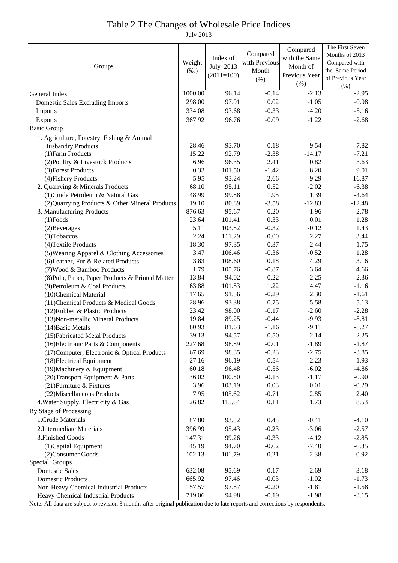#### Table 2 The Changes of Wholesale Price Indices

July 2013

| Groups                                           |                   |                |                 | Compared      | The First Seven    |
|--------------------------------------------------|-------------------|----------------|-----------------|---------------|--------------------|
|                                                  |                   | Index of       | Compared        | with the Same | Months of 2013     |
|                                                  |                   | July 2013      | with Previous   | Month of      | Compared with      |
|                                                  |                   | $(2011=100)$   | Month           | Previous Year | the Same Period    |
|                                                  |                   |                | (% )            | (% )          | of Previous Year   |
|                                                  |                   |                |                 | $-2.13$       | $(\% )$            |
| General Index                                    | 1000.00<br>298.00 | 96.14<br>97.91 | $-0.14$<br>0.02 | $-1.05$       | $-2.95$<br>$-0.98$ |
| <b>Domestic Sales Excluding Imports</b>          |                   |                |                 |               |                    |
| Imports                                          | 334.08            | 93.68          | $-0.33$         | $-4.20$       | $-5.16$            |
| <b>Exports</b>                                   | 367.92            | 96.76          | $-0.09$         | $-1.22$       | $-2.68$            |
| <b>Basic Group</b>                               |                   |                |                 |               |                    |
| 1. Agriculture, Forestry, Fishing & Animal       |                   |                |                 |               |                    |
| <b>Husbandry Products</b>                        | 28.46             | 93.70          | $-0.18$         | $-9.54$       | $-7.82$            |
| (1) Farm Products                                | 15.22             | 92.79          | $-2.38$         | $-14.17$      | $-7.21$            |
| (2) Poultry & Livestock Products                 | 6.96              | 96.35          | 2.41            | 0.82          | 3.63               |
| (3) Forest Products                              | 0.33              | 101.50         | $-1.42$         | 8.20          | 9.01               |
| (4) Fishery Products                             | 5.95              | 93.24          | 2.66            | $-9.29$       | $-16.87$           |
| 2. Quarrying & Minerals Products                 | 68.10             | 95.11          | 0.52            | $-2.02$       | $-6.38$            |
| (1) Crude Petroleum & Natural Gas                | 48.99             | 99.88          | 1.95            | 1.39          | $-4.64$            |
| (2) Quarrying Products & Other Mineral Products  | 19.10             | 80.89          | $-3.58$         | $-12.83$      | $-12.48$           |
| 3. Manufacturing Products                        | 876.63            | 95.67          | $-0.20$         | $-1.96$       | $-2.78$            |
| $(1)$ Foods                                      | 23.64             | 101.41         | 0.33            | 0.01          | 1.28               |
| (2) Beverages                                    | 5.11              | 103.82         | $-0.32$         | $-0.12$       | 1.43               |
| (3) Tobaccos                                     | 2.24              | 111.29         | 0.00            | 2.27          | 3.44               |
| (4) Textile Products                             | 18.30             | 97.35          | $-0.37$         | $-2.44$       | $-1.75$            |
| (5) Wearing Apparel & Clothing Accessories       | 3.47              | 106.46         | $-0.36$         | $-0.52$       | 1.28               |
| (6) Leather, Fur & Related Products              | 3.83              | 108.60         | 0.18            | 4.29          | 3.16               |
| (7) Wood & Bamboo Products                       | 1.79              | 105.76         | $-0.87$         | 3.64          | 4.66               |
| (8) Pulp, Paper, Paper Products & Printed Matter | 13.84             | 94.02          | $-0.22$         | $-2.25$       | $-2.36$            |
| (9) Petroleum & Coal Products                    | 63.88             | 101.83         | 1.22            | 4.47          | $-1.16$            |
| (10)Chemical Material                            | 117.65            | 91.56          | $-0.29$         | 2.30          | $-1.61$            |
| (11) Chemical Products & Medical Goods           | 28.96             | 93.38          | $-0.75$         | $-5.58$       | $-5.13$            |
| (12) Rubber & Plastic Products                   | 23.42             | 98.00          | $-0.17$         | $-2.60$       | $-2.28$            |
| (13) Non-metallic Mineral Products               | 19.84             | 89.25          | $-0.44$         | $-9.93$       | $-8.81$            |
| (14) Basic Metals                                | 80.93             | 81.63          | $-1.16$         | $-9.11$       | $-8.27$            |
| (15) Fabricated Metal Products                   | 39.13             | 94.57          | $-0.50$         | $-2.14$       | $-2.25$            |
| (16) Electronic Parts & Components               | 227.68            | 98.89          | $-0.01$         | $-1.89$       | $-1.87$            |
| (17) Computer, Electronic & Optical Products     | 67.69             | 98.35          | $-0.23$         | $-2.75$       | $-3.85$            |
| (18) Electrical Equipment                        | 27.16             | 96.19          | $-0.54$         | $-2.23$       | $-1.93$            |
| (19) Machinery & Equipment                       | 60.18             | 96.48          | $-0.56$         | $-6.02$       | $-4.86$            |
| (20) Transport Equipment & Parts                 | 36.02             | 100.50         | $-0.13$         | $-1.17$       | $-0.90$            |
| (21) Furniture & Fixtures                        | 3.96              | 103.19         | 0.03            | 0.01          | $-0.29$            |
| (22) Miscellaneous Products                      | 7.95              | 105.62         | $-0.71$         | 2.85          | 2.40               |
| 4. Water Supply, Electricity & Gas               | 26.82             | 115.64         | 0.11            | 1.73          | 8.53               |
| By Stage of Processing                           |                   |                |                 |               |                    |
| 1. Crude Materials                               | 87.80             | 93.82          | 0.48            | $-0.41$       | $-4.10$            |
| 2. Intermediate Materials                        | 396.99            | 95.43          | $-0.23$         | $-3.06$       | $-2.57$            |
| 3. Finished Goods                                | 147.31            | 99.26          | $-0.33$         | $-4.12$       | $-2.85$            |
| (1) Capital Equipment                            | 45.19             | 94.70          | $-0.62$         | $-7.40$       | $-6.35$            |
| (2) Consumer Goods                               | 102.13            | 101.79         | $-0.21$         | $-2.38$       | $-0.92$            |
| Special Groups                                   |                   |                |                 |               |                    |
| <b>Domestic Sales</b>                            | 632.08            | 95.69          | $-0.17$         | $-2.69$       | $-3.18$            |
| <b>Domestic Products</b>                         | 665.92            | 97.46          | $-0.03$         | $-1.02$       | $-1.73$            |
| Non-Heavy Chemical Industrial Products           | 157.57            | 97.87          | $-0.20$         | $-1.81$       | $-1.58$            |
| Heavy Chemical Industrial Products               | 719.06            | 94.98          | $-0.19$         | $-1.98$       | $-3.15$            |

Note: All data are subject to revision 3 months after original publication due to late reports and corrections by respondents.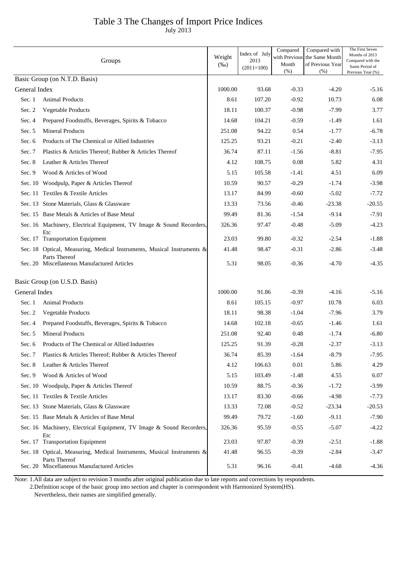## Table 3 The Changes of Import Price Indices

July 2013

|               | Groups                                                                 | Weight<br>$(\%0)$ | Index of July<br>2013<br>$(2011=100)$ | Compared<br>Month<br>(% ) | Compared with<br>with Previous the Same Month<br>of Previous Year<br>(% ) | The First Seven<br>Months of 2013<br>Compared with the<br>Same Period of<br>Previous Year (%) |
|---------------|------------------------------------------------------------------------|-------------------|---------------------------------------|---------------------------|---------------------------------------------------------------------------|-----------------------------------------------------------------------------------------------|
|               | Basic Group (on N.T.D. Basis)                                          |                   |                                       |                           |                                                                           |                                                                                               |
| General Index |                                                                        | 1000.00           | 93.68                                 | $-0.33$                   | $-4.20$                                                                   | $-5.16$                                                                                       |
| Sec. 1        | <b>Animal Products</b>                                                 | 8.61              | 107.20                                | $-0.92$                   | 10.73                                                                     | 6.08                                                                                          |
| Sec. 2        | Vegetable Products                                                     | 18.11             | 100.37                                | $-0.98$                   | $-7.99$                                                                   | 3.77                                                                                          |
| Sec. 4        | Prepared Foodstuffs, Beverages, Spirits & Tobacco                      | 14.68             | 104.21                                | $-0.59$                   | $-1.49$                                                                   | 1.61                                                                                          |
| Sec. 5        | <b>Mineral Products</b>                                                | 251.08            | 94.22                                 | 0.54                      | $-1.77$                                                                   | $-6.78$                                                                                       |
| Sec. 6        | Products of The Chemical or Allied Industries                          | 125.25            | 93.21                                 | $-0.21$                   | $-2.40$                                                                   | $-3.13$                                                                                       |
| Sec. 7        | Plastics & Articles Thereof; Rubber & Articles Thereof                 | 36.74             | 87.11                                 | $-1.56$                   | $-8.81$                                                                   | $-7.95$                                                                                       |
| Sec. 8        | Leather & Articles Thereof                                             | 4.12              | 108.75                                | 0.08                      | 5.82                                                                      | 4.31                                                                                          |
| Sec. $9$      | Wood & Articles of Wood                                                | 5.15              | 105.58                                | $-1.41$                   | 4.51                                                                      | 6.09                                                                                          |
|               | Sec. 10 Woodpulp, Paper & Articles Thereof                             | 10.59             | 90.57                                 | $-0.29$                   | $-1.74$                                                                   | $-3.98$                                                                                       |
|               | Sec. 11 Textiles & Textile Articles                                    | 13.17             | 84.99                                 | $-0.60$                   | $-5.02$                                                                   | $-7.72$                                                                                       |
|               | Sec. 13 Stone Materials, Glass & Glassware                             | 13.33             | 73.56                                 | $-0.46$                   | $-23.38$                                                                  | $-20.55$                                                                                      |
|               | Sec. 15 Base Metals & Articles of Base Metal                           | 99.49             | 81.36                                 | $-1.54$                   | $-9.14$                                                                   | $-7.91$                                                                                       |
|               | Sec. 16 Machinery, Electrical Equipment, TV Image & Sound Recorders,   | 326.36            | 97.47                                 | $-0.48$                   | $-5.09$                                                                   | $-4.23$                                                                                       |
|               | Etc<br>Sec. 17 Transportation Equipment                                | 23.03             | 99.80                                 | $-0.32$                   | $-2.54$                                                                   | $-1.88$                                                                                       |
|               | Sec. 18 Optical, Measuring, Medical Instruments, Musical Instruments & | 41.48             | 98.47                                 | $-0.31$                   | $-2.86$                                                                   | $-3.48$                                                                                       |
|               | Parts Thereof<br>Sec. 20 Miscellaneous Manufactured Articles           | 5.31              | 98.05                                 | $-0.36$                   | $-4.70$                                                                   | $-4.35$                                                                                       |
|               | Basic Group (on U.S.D. Basis)                                          |                   |                                       |                           |                                                                           |                                                                                               |
| General Index |                                                                        | 1000.00           | 91.86                                 | $-0.39$                   | $-4.16$                                                                   | $-5.16$                                                                                       |
| Sec. 1        | <b>Animal Products</b>                                                 | 8.61              | 105.15                                | $-0.97$                   | 10.78                                                                     | 6.03                                                                                          |
| Sec. $2$      | Vegetable Products                                                     | 18.11             | 98.38                                 | $-1.04$                   | $-7.96$                                                                   | 3.79                                                                                          |
| Sec. $4$      | Prepared Foodstuffs, Beverages, Spirits & Tobacco                      | 14.68             | 102.18                                | $-0.65$                   | -1.46                                                                     | 1.61                                                                                          |
| Sec. 5        | <b>Mineral Products</b>                                                | 251.08            | 92.40                                 | 0.48                      | $-1.74$                                                                   | $-6.80$                                                                                       |
|               | Sec. 6 Products of The Chemical or Allied Industries                   | 125.25            | 91.39                                 | $-0.28$                   | $-2.37$                                                                   | $-3.13$                                                                                       |
| Sec. 7        | Plastics & Articles Thereof; Rubber & Articles Thereof                 | 36.74             | 85.39                                 | $-1.64$                   | $-8.79$                                                                   | $-7.95$                                                                                       |
| Sec. 8        | Leather & Articles Thereof                                             | 4.12              | 106.63                                | 0.01                      | 5.86                                                                      | 4.29                                                                                          |
| Sec. 9        | Wood & Articles of Wood                                                | 5.15              | 103.49                                | $-1.48$                   | 4.55                                                                      | 6.07                                                                                          |
|               | Sec. 10 Woodpulp, Paper & Articles Thereof                             | 10.59             | 88.75                                 | $-0.36$                   | $-1.72$                                                                   | $-3.99$                                                                                       |
|               | Sec. 11 Textiles & Textile Articles                                    | 13.17             | 83.30                                 | $-0.66$                   | $-4.98$                                                                   | $-7.73$                                                                                       |
|               | Sec. 13 Stone Materials, Glass & Glassware                             | 13.33             | 72.08                                 | $-0.52$                   | $-23.34$                                                                  | $-20.53$                                                                                      |
|               | Sec. 15 Base Metals & Articles of Base Metal                           | 99.49             | 79.72                                 | $-1.60$                   | $-9.11$                                                                   | $-7.90$                                                                                       |
|               | Sec. 16 Machinery, Electrical Equipment, TV Image & Sound Recorders,   | 326.36            | 95.59                                 | $-0.55$                   | $-5.07$                                                                   | $-4.22$                                                                                       |
|               | Etc<br>Sec. 17 Transportation Equipment                                | 23.03             | 97.87                                 | $-0.39$                   | $-2.51$                                                                   | $-1.88$                                                                                       |
|               | Sec. 18 Optical, Measuring, Medical Instruments, Musical Instruments & | 41.48             | 96.55                                 | $-0.39$                   | $-2.84$                                                                   | $-3.47$                                                                                       |
|               | Parts Thereof<br>Sec. 20 Miscellaneous Manufactured Articles           | 5.31              | 96.16                                 | $-0.41$                   | $-4.68$                                                                   | $-4.36$                                                                                       |

Note: 1.All data are subject to revision 3 months after original publication due to late reports and corrections by respondents.

2.Definition scope of the basic group into section and chapter is correspondent with Harmonized System(HS).

Nevertheless, their names are simplified generally.